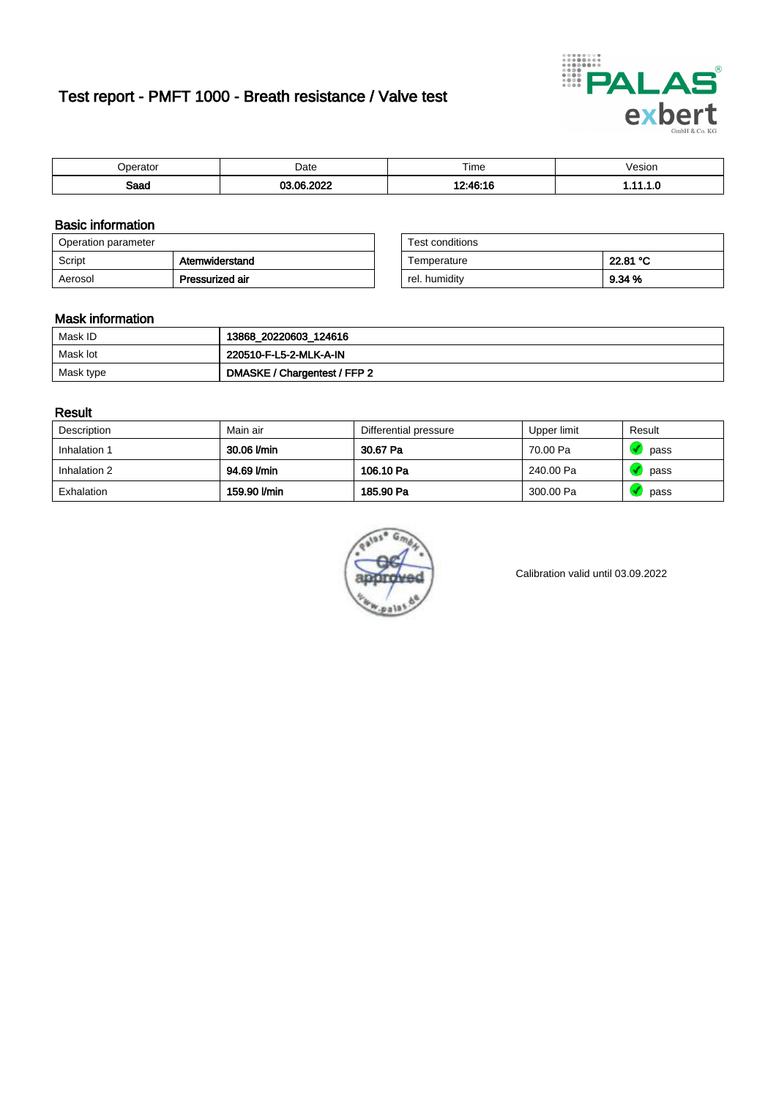# Test report - PMFT 1000 - Breath resistance / Valve test



| 'berator | Date  | Time           | 'esıon<br>. |
|----------|-------|----------------|-------------|
| enne     | 0.000 | 0.10           | . .         |
| oaau     | Λc    | $40.4^{\circ}$ |             |

### Basic information

| Operation parameter |                 | Test conditions |          |
|---------------------|-----------------|-----------------|----------|
| Script              | Atemwiderstand  | Temperature     | 22.81 °C |
| Aerosol             | Pressurized air | rel. humidity   | 9.34 %   |

| Test conditions |          |
|-----------------|----------|
| Temperature     | 22.81 °C |
| rel. humidity   | 9.34%    |

#### Mask information

| Mask ID   | 13868_20220603_124616        |
|-----------|------------------------------|
| Mask lot  | 220510-F-L5-2-MLK-A-IN       |
| Mask type | DMASKE / Chargentest / FFP 2 |

### Result

| Description  | Main air     | Differential pressure | Upper limit | Result |
|--------------|--------------|-----------------------|-------------|--------|
| Inhalation 1 | 30.06 l/min  | 30.67 Pa              | 70.00 Pa    | pass   |
| Inhalation 2 | 94.69 l/min  | 106.10 Pa             | 240.00 Pa   | pass   |
| Exhalation   | 159.90 l/min | 185.90 Pa             | 300.00 Pa   | pass   |



Calibration valid until 03.09.2022